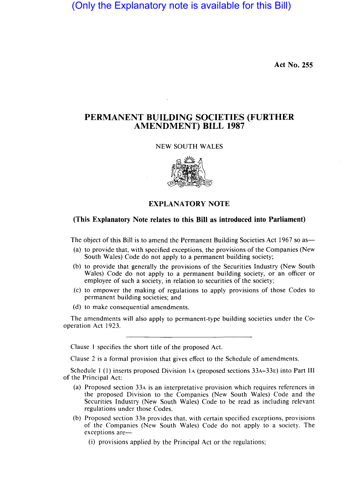(Only the Explanatory note is available for this Bill)

**Act No. 255** 

## **PERMANENT BUILDING SOCIETIES (FURTHER AMENDMENT) BILL 1987**

## NEW SOUTH WALES



**EXPLANATORY NOTE** 

## **(This Explanatory Note relates to this Bill as introduced into Parliament)**

The object of this Bill is to amend the Permanent Building Societies Act 1967 so as—

- (a) to provide that, with specified exceptions, the provisions of the Companies (New South Wales) Code do not apply to a permanent building society;
- (b) to provide that generally the provisions of the Securities Industry (New South Wales) Code do not apply to a permanent building society, or an officer or employee of such a society, in relation to securities of the society;
- (c) to empower the making of regulations to apply provisions of those Codes to permanent building societies; and
- (d) to make consequential amendments.

The amendments will also apply to permanent-type building societies under the Cooperation Act 1923.

Clause 1 specifies the short title of the proposed Act.

Clause 2 is a formal provision that gives effect to the Schedule of amendments.

Schedule 1 (1) inserts proposed Division 1A (proposed sections  $33A-33E$ ) into Part III of the Principal Act:

- (a) Proposed section 33A is an interpretative provision which requires references in the proposed Division to the Companies (New South Wales) Code and the Securities Industry (New South Wales) Code to be read as including relevant regulations under those Codes.
- (b) Proposed section 33B provides that, with certain specified exceptions, provisions of the Companies (New South Wales) Code do not apply to a society. The exceptions are-
	- (i) provisions applied by the Principal Act or the regulations;